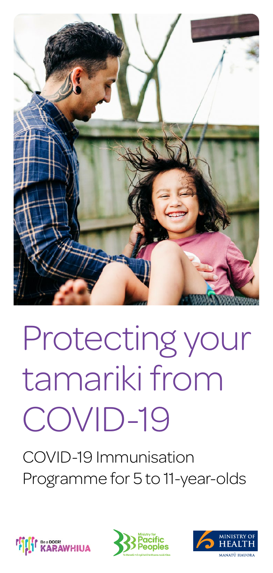

# Protecting your tamariki from COVID-19

COVID-19 Immunisation Programme for 5 to 11-year-olds





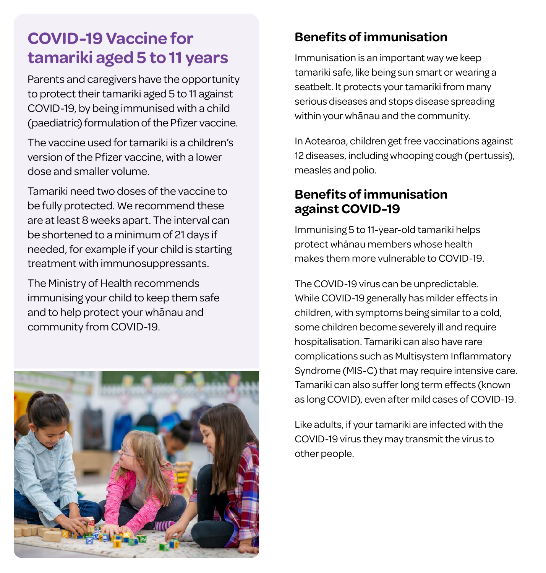## **COVID-19 Vaccine for tamariki aged 5 to 11 years**

Parents and caregivers have the opportunity to protect their tamariki aged 5 to 11 against COVID-19, by being immunised with a child (paediatric) formulation of the Pfizer vaccine.

The vaccine used for tamariki is a children's version of the Pfizer vaccine, with a lower dose and smaller volume.

Tamariki need two doses of the vaccine to be fully protected. We recommend these are at least 8 weeks apart. The interval can be shortened to a minimum of 21 days if needed, for example if your child is starting treatment with immunosuppressants.

The Ministry of Health recommends immunising your child to keep them safe and to help protect your whānau and community from COVID-19.



### **Benefits of immunisation**

Immunisation is an important way we keep tamariki safe, like being sun smart or wearing a seatbelt. It protects your tamariki from many serious diseases and stops disease spreading within your whānau and the community.

In Aotearoa, children get free vaccinations against 12 diseases, including whooping cough (pertussis), measles and polio.

#### **Benefits of immunisation against COVID-19**

Immunising 5 to 11-year-old tamariki helps protect whānau members whose health makes them more vulnerable to COVID-19.

The COVID-19 virus can be unpredictable. While COVID-19 generally has milder effects in children, with symptoms being similar to a cold, some children become severely ill and require hospitalisation. Tamariki can also have rare complications such as Multisystem Inflammatory Syndrome (MIS-C) that may require intensive care. Tamariki can also suffer long term effects (known as long COVID), even after mild cases of COVID-19.

Like adults, if your tamariki are infected with the COVID-19 virus they may transmit the virus to other people.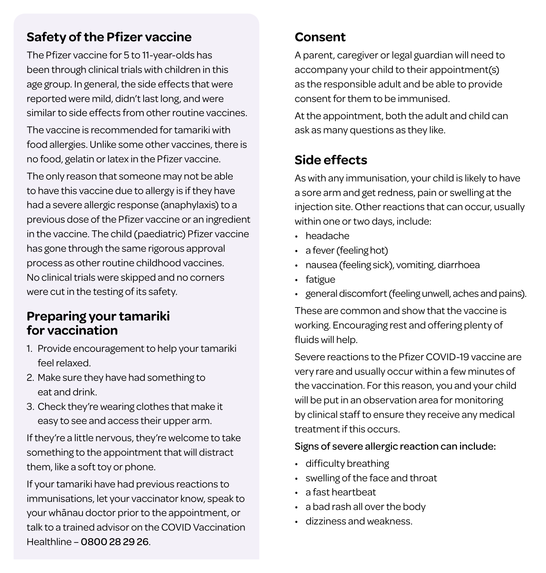#### **Safety of the Pfizer vaccine**

The Pfizer vaccine for 5 to 11-year-olds has been through clinical trials with children in this age group. In general, the side effects that were reported were mild, didn't last long, and were similar to side effects from other routine vaccines.

The vaccine is recommended for tamariki with food allergies. Unlike some other vaccines, there is no food, gelatin or latex in the Pfizer vaccine.

The only reason that someone may not be able to have this vaccine due to allergy is if they have had a severe allergic response (anaphylaxis) to a previous dose of the Pfizer vaccine or an ingredient in the vaccine. The child (paediatric) Pfizer vaccine has gone through the same rigorous approval process as other routine childhood vaccines. No clinical trials were skipped and no corners were cut in the testing of its safety.

#### **Preparing your tamariki for vaccination**

- 1. Provide encouragement to help your tamariki feel relaxed.
- 2. Make sure they have had something to eat and drink.
- 3. Check they're wearing clothes that make it easy to see and access their upper arm.

If they're a little nervous, they're welcome to take something to the appointment that will distract them, like a soft toy or phone.

If your tamariki have had previous reactions to immunisations, let your vaccinator know, speak to your whānau doctor prior to the appointment, or talk to a trained advisor on the COVID Vaccination Healthline – 0800 28 29 26.

## **Consent**

A parent, caregiver or legal guardian will need to accompany your child to their appointment(s) as the responsible adult and be able to provide consent for them to be immunised.

At the appointment, both the adult and child can ask as many questions as they like.

## **Side effects**

As with any immunisation, your child is likely to have a sore arm and get redness, pain or swelling at the injection site. Other reactions that can occur, usually within one or two days, include:

- headache
- a fever (feeling hot)
- nausea (feeling sick), vomiting, diarrhoea
- fatigue
- general discomfort (feeling unwell, aches and pains).

These are common and show that the vaccine is working. Encouraging rest and offering plenty of fluids will help.

Severe reactions to the Pfizer COVID-19 vaccine are very rare and usually occur within a few minutes of the vaccination. For this reason, you and your child will be put in an observation area for monitoring by clinical staff to ensure they receive any medical treatment if this occurs.

#### Signs of severe allergic reaction can include:

- difficulty breathing
- swelling of the face and throat
- a fast heartbeat
- a bad rash all over the body
- dizziness and weakness.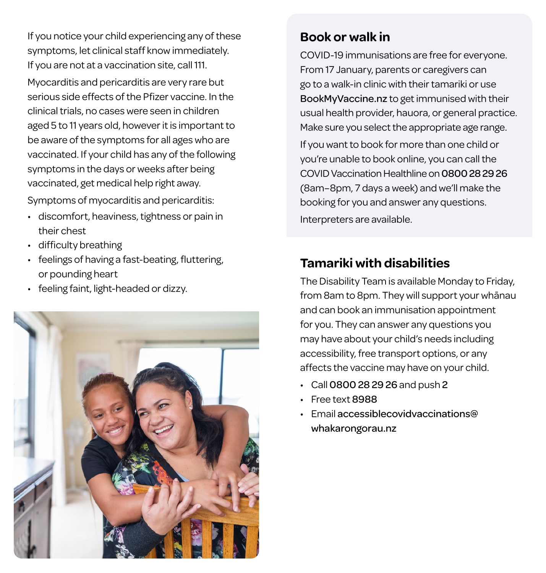If you notice your child experiencing any of these symptoms, let clinical staff know immediately. If you are not at a vaccination site, call 111.

Myocarditis and pericarditis are very rare but serious side effects of the Pfizer vaccine. In the clinical trials, no cases were seen in children aged 5 to 11 years old, however it is important to be aware of the symptoms for all ages who are vaccinated. If your child has any of the following symptoms in the days or weeks after being vaccinated, get medical help right away.

Symptoms of myocarditis and pericarditis:

- discomfort, heaviness, tightness or pain in their chest
- difficulty breathing
- feelings of having a fast-beating, fluttering, or pounding heart
- feeling faint, light-headed or dizzy.



#### **Book or walk in**

COVID-19 immunisations are free for everyone. From 17 January, parents or caregivers can go to a walk-in clinic with their tamariki or use BookMyVaccine.nz to get immunised with their usual health provider, hauora, or general practice. Make sure you select the appropriate age range. If you want to book for more than one child or you're unable to book online, you can call the COVID Vaccination Healthline on 0800 28 29 26 (8am–8pm, 7 days a week) and we'll make the

Interpreters are available.

## **Tamariki with disabilities**

booking for you and answer any questions.

The Disability Team is available Monday to Friday, from 8am to 8pm. They will support your whānau and can book an immunisation appointment for you. They can answer any questions you may have about your child's needs including accessibility, free transport options, or any affects the vaccine may have on your child.

- Call 0800 28 29 26 and push 2
- Free text 8988
- Email accessiblecovidvaccinations@ whakarongorau.nz